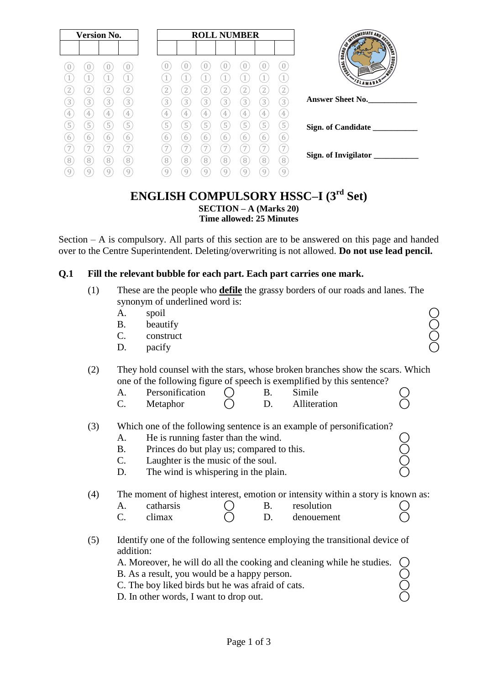| s<br><b>POPIE</b><br><b>BOARD</b><br><b>MONTAINS</b><br><b>THERE</b><br>U<br>U<br>U<br>U<br>1<br>1<br>4<br>4<br>VSLAMABAD*<br>$\mathbf{2}$<br>2<br>2<br>$\overline{2}$<br>2<br>2<br>2<br>2<br>∠<br><b>Answer Sheet No.</b><br>3<br>3<br>3<br>$\left[3\right]$<br>3<br>3<br>3<br>3<br>3<br>3<br>3<br>4<br>4<br>4<br>4<br>4<br>4<br>4<br>4<br>4<br>4<br>5<br>5<br>5<br>5<br>5<br>5<br>5<br>5<br>5<br>5<br>5<br>Sign. of Candidate | <b>Version No.</b> |   |   | <b>ROLL NUMBER</b> |  |   |   |  |  |  | WIERMEDIATE AND SE |  |
|---------------------------------------------------------------------------------------------------------------------------------------------------------------------------------------------------------------------------------------------------------------------------------------------------------------------------------------------------------------------------------------------------------------------------------|--------------------|---|---|--------------------|--|---|---|--|--|--|--------------------|--|
|                                                                                                                                                                                                                                                                                                                                                                                                                                 |                    |   |   |                    |  |   |   |  |  |  |                    |  |
|                                                                                                                                                                                                                                                                                                                                                                                                                                 |                    |   |   |                    |  |   |   |  |  |  |                    |  |
|                                                                                                                                                                                                                                                                                                                                                                                                                                 |                    |   |   |                    |  |   |   |  |  |  |                    |  |
|                                                                                                                                                                                                                                                                                                                                                                                                                                 |                    |   |   |                    |  |   |   |  |  |  |                    |  |
|                                                                                                                                                                                                                                                                                                                                                                                                                                 |                    |   |   |                    |  |   |   |  |  |  |                    |  |
|                                                                                                                                                                                                                                                                                                                                                                                                                                 |                    |   |   |                    |  |   |   |  |  |  |                    |  |
|                                                                                                                                                                                                                                                                                                                                                                                                                                 |                    |   |   |                    |  |   |   |  |  |  |                    |  |
| 6<br>6<br>6<br>b<br><sub>(</sub>                                                                                                                                                                                                                                                                                                                                                                                                |                    | 6 | 6 |                    |  | 6 | 6 |  |  |  | 6                  |  |
| 7<br>7<br>7<br>7<br>Sign. of Invigilator                                                                                                                                                                                                                                                                                                                                                                                        |                    |   |   |                    |  |   |   |  |  |  |                    |  |
| $\sqrt{8}$<br>$\sqrt{8}$<br>8<br>8<br>8<br>8<br>8<br>8<br>8<br>8<br>8<br>9<br>9<br>9<br>9<br>9<br>9<br>9<br>9<br>g                                                                                                                                                                                                                                                                                                              |                    |   |   |                    |  |   |   |  |  |  |                    |  |

## **ENGLISH COMPULSORY HSSC–I (3rd Set) SECTION – A (Marks 20) Time allowed: 25 Minutes**

Section – A is compulsory. All parts of this section are to be answered on this page and handed over to the Centre Superintendent. Deleting/overwriting is not allowed. **Do not use lead pencil.**

## **Q.1 Fill the relevant bubble for each part. Each part carries one mark.**

- (1) These are the people who **defile** the grassy borders of our roads and lanes. The synonym of underlined word is:
	- A. spoil  $\bigcirc$
	- B. beautify  $\bigcirc$
	- $\mathcal C$ . construct  $\bigcup$
	- D. pacify  $\bigcirc$

## (2) They hold counsel with the stars, whose broken branches show the scars. Which one of the following figure of speech is exemplified by this sentence?

- A. Personification ( B. Simile )<br>
C. Metaphor ( D. Alliteration )
- $C.$  Metaphor  $O$  D. Alliteration
- (3) Which one of the following sentence is an example of personification?
	- A. He is running faster than the wind.
	- B. Princes do but play us; compared to this.
	- C. Laughter is the music of the soul.
	- D. The wind is whispering in the plain.

(4) The moment of highest interest, emotion or intensity within a story is known as:

| л. | catharsis |  | resolution |  |
|----|-----------|--|------------|--|
|    | climax    |  | denouement |  |

(5) Identify one of the following sentence employing the transitional device of addition:

A. Moreover, he will do all the cooking and cleaning while he studies.

- B. As a result, you would be a happy person.
- C. The boy liked birds but he was afraid of cats.
- D. In other words, I want to drop out.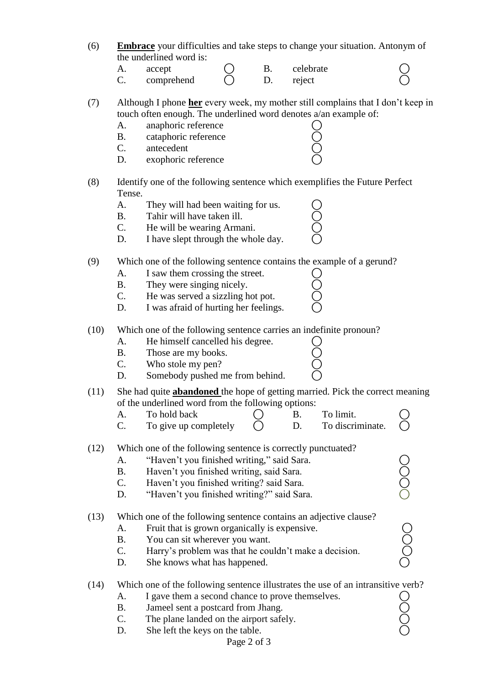| (6) | <b>Embrace</b> your difficulties and take steps to change your situation. Antonym of |  |
|-----|--------------------------------------------------------------------------------------|--|
|     | the underlined word is:                                                              |  |

A. accept ( B. celebrate )  $C.$  comprehend  $C.$  D. reject

(7) Although I phone **her** every week, my mother still complains that I don"t keep in touch often enough. The underlined word denotes a/an example of:

| $\mathsf{A}$ . | anaphoric reference  |  |
|----------------|----------------------|--|
| В.             | cataphoric reference |  |
| $\mathbf{C}$   | antecedent           |  |
| - I.D.         | exophoric reference  |  |

### (8) Identify one of the following sentence which exemplifies the Future Perfect Tense.

- A. They will had been waiting for us.
- B. Tahir will have taken ill.
- C. He will be wearing Armani.
- D. I have slept through the whole day.

## (9) Which one of the following sentence contains the example of a gerund?

- 
- B. They were singing nicely.
- A. I saw them crossing the street.  $\bigcirc$ <br>B. They were singing nicely.  $\bigcirc$ <br>C. He was served a sizzling hot pot.  $\bigcirc$ C. He was served a sizzling hot pot.
- D. I was afraid of hurting her feelings.

### (10) Which one of the following sentence carries an indefinite pronoun?

- A. He himself cancelled his degree.  $\bigcirc$ <br>B. Those are my books.  $\bigcirc$ <br>C. Who stole my pen?  $\bigcirc$
- B. Those are my books.
- C. Who stole my pen?
- D. Somebody pushed me from behind.
- (11) She had quite **abandoned** the hope of getting married. Pick the correct meaning of the underlined word from the following options:
	- A. To hold back  $\bigcap$  B. To limit. C. To give up completely  $\bigcirc$  D. To discriminate.

## (12) Which one of the following sentence is correctly punctuated?

- A. "Haven't you finished writing," said Sara.
- B. Haven't you finished writing, said Sara.
- C. Haven't you finished writing? said Sara.
- D. "Haven't you finished writing?" said Sara.

#### (13) Which one of the following sentence contains an adjective clause?

- 
- B. You can sit wherever you want.
- A. Fruit that is grown organically is expensive.<br>
B. You can sit wherever you want.<br>
C. Harry's problem was that he couldn't make a decision. C. Harry's problem was that he couldn't make a decision.
- D. She knows what has happened.

## (14) Which one of the following sentence illustrates the use of an intransitive verb?

- A. I gave them a second chance to prove themselves. B. Jameel sent a postcard from Jhang.
	- C. The plane landed on the airport safely.
	- D. She left the keys on the table.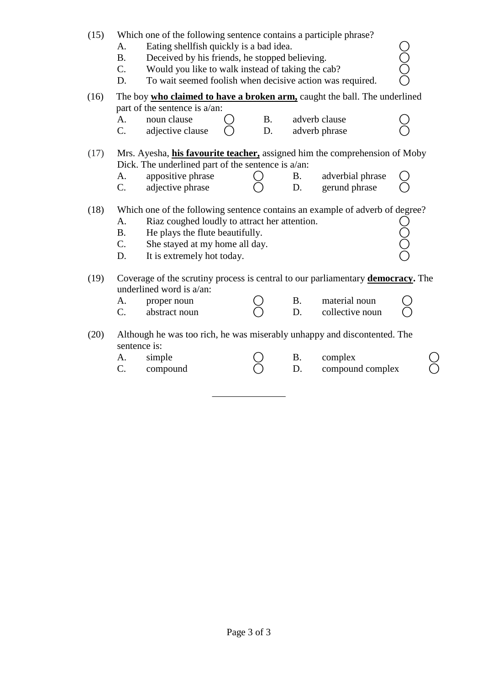| (15) | Which one of the following sentence contains a participle phrase?<br>Eating shellfish quickly is a bad idea.<br>A.<br>0000<br>Deceived by his friends, he stopped believing.<br><b>B.</b><br>Would you like to walk instead of taking the cab?<br>C.<br>To wait seemed foolish when decisive action was required.<br>D. |                                                                                                                     |    |                            |                  |  |  |  |  |  |  |  |  |  |
|------|-------------------------------------------------------------------------------------------------------------------------------------------------------------------------------------------------------------------------------------------------------------------------------------------------------------------------|---------------------------------------------------------------------------------------------------------------------|----|----------------------------|------------------|--|--|--|--|--|--|--|--|--|
| (16) | The boy who claimed to have a broken arm, caught the ball. The underlined<br>part of the sentence is a/an:                                                                                                                                                                                                              |                                                                                                                     |    |                            |                  |  |  |  |  |  |  |  |  |  |
|      |                                                                                                                                                                                                                                                                                                                         |                                                                                                                     |    |                            |                  |  |  |  |  |  |  |  |  |  |
|      | A.                                                                                                                                                                                                                                                                                                                      | noun clause                                                                                                         |    | adverb clause<br><b>B.</b> |                  |  |  |  |  |  |  |  |  |  |
|      | C.                                                                                                                                                                                                                                                                                                                      | adjective clause                                                                                                    | D. |                            | adverb phrase    |  |  |  |  |  |  |  |  |  |
| (17) | Mrs. Ayesha, <i>his favourite teacher</i> , assigned him the comprehension of Moby                                                                                                                                                                                                                                      |                                                                                                                     |    |                            |                  |  |  |  |  |  |  |  |  |  |
|      | Dick. The underlined part of the sentence is a/an:                                                                                                                                                                                                                                                                      |                                                                                                                     |    |                            |                  |  |  |  |  |  |  |  |  |  |
|      | A.                                                                                                                                                                                                                                                                                                                      | appositive phrase                                                                                                   |    | <b>B.</b>                  | adverbial phrase |  |  |  |  |  |  |  |  |  |
|      | $\mathcal{C}$ .                                                                                                                                                                                                                                                                                                         | adjective phrase                                                                                                    |    | D.                         | gerund phrase    |  |  |  |  |  |  |  |  |  |
| (18) | Which one of the following sentence contains an example of adverb of degree?<br>Riaz coughed loudly to attract her attention.<br>A.<br><b>B.</b><br>He plays the flute beautifully.<br>C.<br>She stayed at my home all day.<br>It is extremely hot today.<br>D.                                                         |                                                                                                                     |    |                            |                  |  |  |  |  |  |  |  |  |  |
| (19) |                                                                                                                                                                                                                                                                                                                         | Coverage of the scrutiny process is central to our parliamentary <b>democracy</b> . The<br>underlined word is a/an: |    |                            |                  |  |  |  |  |  |  |  |  |  |
|      | A.                                                                                                                                                                                                                                                                                                                      | proper noun                                                                                                         |    | <b>B.</b>                  | material noun    |  |  |  |  |  |  |  |  |  |
|      | C.                                                                                                                                                                                                                                                                                                                      | abstract noun                                                                                                       |    | D.                         | collective noun  |  |  |  |  |  |  |  |  |  |
| (20) | sentence is:                                                                                                                                                                                                                                                                                                            | Although he was too rich, he was miserably unhappy and discontented. The                                            |    |                            |                  |  |  |  |  |  |  |  |  |  |
|      | A.                                                                                                                                                                                                                                                                                                                      | simple                                                                                                              |    | Β.                         | complex          |  |  |  |  |  |  |  |  |  |
|      | C.<br>compound complex<br>compound<br>D.                                                                                                                                                                                                                                                                                |                                                                                                                     |    |                            |                  |  |  |  |  |  |  |  |  |  |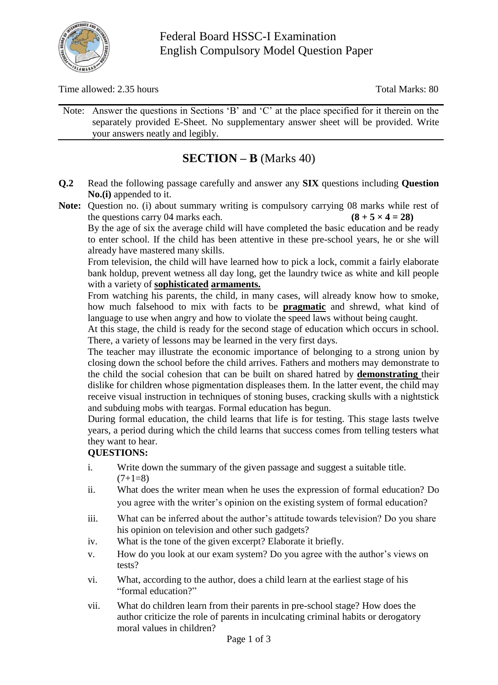

Time allowed: 2.35 hours Total Marks: 80

Note: Answer the questions in Sections "B" and "C" at the place specified for it therein on the separately provided E-Sheet. No supplementary answer sheet will be provided. Write your answers neatly and legibly.

## **SECTION – B** (Marks 40)

- **Q.2** Read the following passage carefully and answer any **SIX** questions including **Question No.(i)** appended to it.
- **Note:** Question no. (i) about summary writing is compulsory carrying 08 marks while rest of the questions carry 04 marks each. **(8 + 5**  $\times$  **4 = 28)**

By the age of six the average child will have completed the basic education and be ready to enter school. If the child has been attentive in these pre-school years, he or she will already have mastered many skills.

From television, the child will have learned how to pick a lock, commit a fairly elaborate bank holdup, prevent wetness all day long, get the laundry twice as white and kill people with a variety of **sophisticated armaments.**

From watching his parents, the child, in many cases, will already know how to smoke, how much falsehood to mix with facts to be **pragmatic** and shrewd, what kind of language to use when angry and how to violate the speed laws without being caught.

At this stage, the child is ready for the second stage of education which occurs in school. There, a variety of lessons may be learned in the very first days.

The teacher may illustrate the economic importance of belonging to a strong union by closing down the school before the child arrives. Fathers and mothers may demonstrate to the child the social cohesion that can be built on shared hatred by **demonstrating** their dislike for children whose pigmentation displeases them. In the latter event, the child may receive visual instruction in techniques of stoning buses, cracking skulls with a nightstick and subduing mobs with teargas. Formal education has begun.

During formal education, the child learns that life is for testing. This stage lasts twelve years, a period during which the child learns that success comes from telling testers what they want to hear.

## **QUESTIONS:**

- i. Write down the summary of the given passage and suggest a suitable title.  $(7+1=8)$
- ii. What does the writer mean when he uses the expression of formal education? Do you agree with the writer"s opinion on the existing system of formal education?
- iii. What can be inferred about the author's attitude towards television? Do you share his opinion on television and other such gadgets?
- iv. What is the tone of the given excerpt? Elaborate it briefly.
- v. How do you look at our exam system? Do you agree with the author"s views on tests?
- vi. What, according to the author, does a child learn at the earliest stage of his "formal education?"
- vii. What do children learn from their parents in pre-school stage? How does the author criticize the role of parents in inculcating criminal habits or derogatory moral values in children?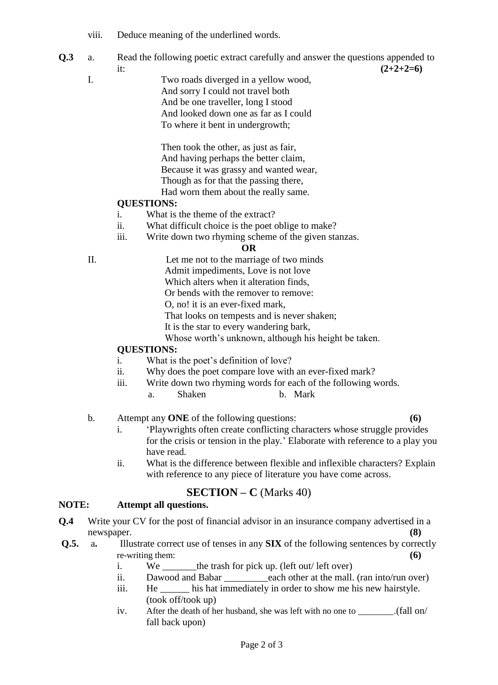- viii. Deduce meaning of the underlined words.
- **Q.3** a. Read the following poetic extract carefully and answer the questions appended to it:  $(2+2+2=6)$ 
	- I. Two roads diverged in a yellow wood, And sorry I could not travel both And be one traveller, long I stood And looked down one as far as I could To where it bent in undergrowth;

Then took the other, as just as fair, And having perhaps the better claim, Because it was grassy and wanted wear, Though as for that the passing there, Had worn them about the really same.

## **QUESTIONS:**

- i. What is the theme of the extract?
- ii. What difficult choice is the poet oblige to make?
- iii. Write down two rhyming scheme of the given stanzas.

#### **OR**

II. Let me not to the marriage of two minds Admit impediments, Love is not love Which alters when it alteration finds, Or bends with the remover to remove: O, no! it is an ever-fixed mark, That looks on tempests and is never shaken; It is the star to every wandering bark, Whose worth's unknown, although his height be taken.

#### **QUESTIONS:**

- i. What is the poet's definition of love?
- ii. Why does the poet compare love with an ever-fixed mark?
- iii. Write down two rhyming words for each of the following words.
	- a. Shaken b. Mark

#### b. Attempt any **ONE** of the following questions: **(6)**

- i. "Playwrights often create conflicting characters whose struggle provides for the crisis or tension in the play." Elaborate with reference to a play you have read.
- ii. What is the difference between flexible and inflexible characters? Explain with reference to any piece of literature you have come across.

## **SECTION – C** (Marks 40)

#### **NOTE: Attempt all questions.**

- **Q.4** Write your CV for the post of financial advisor in an insurance company advertised in a newspaper. **(8)**
- **Q.5.** a. Illustrate correct use of tenses in any **SIX** of the following sentences by correctly re-writing them:
	- i. We the trash for pick up. (left out/ left over)
	- ii. Dawood and Babar each other at the mall. (ran into/run over)
	- iii. He \_\_\_\_\_\_ his hat immediately in order to show me his new hairstyle. (took off/took up)
	- iv. After the death of her husband, she was left with no one to \_\_\_\_\_\_.(fall on/ fall back upon)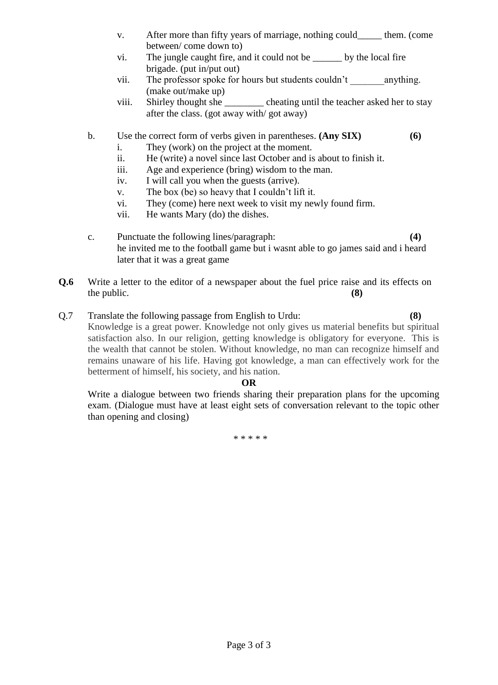- v. After more than fifty years of marriage, nothing could\_\_\_\_\_ them. (come between/ come down to)
- vi. The jungle caught fire, and it could not be \_\_\_\_\_\_ by the local fire brigade. (put in/put out)
- vii. The professor spoke for hours but students couldn't anything. (make out/make up)
- viii. Shirley thought she \_\_\_\_\_\_\_\_ cheating until the teacher asked her to stay after the class. (got away with/ got away)

## b. Use the correct form of verbs given in parentheses. **(Any SIX) (6)**

- i. They (work) on the project at the moment.
- ii. He (write) a novel since last October and is about to finish it.
- iii. Age and experience (bring) wisdom to the man.
- iv. I will call you when the guests (arrive).
- v. The box (be) so heavy that I couldn"t lift it.
- vi. They (come) here next week to visit my newly found firm.
- vii. He wants Mary (do) the dishes.
- c. Punctuate the following lines/paragraph: **(4)** he invited me to the football game but i wasnt able to go james said and i heard later that it was a great game
- **Q.6** Write a letter to the editor of a newspaper about the fuel price raise and its effects on the public. **(8)**

## Q.7 Translate the following passage from English to Urdu: **(8)**

Knowledge is a great power. Knowledge not only gives us material benefits but spiritual satisfaction also. In our religion, getting knowledge is obligatory for everyone. This is the wealth that cannot be stolen. Without knowledge, no man can recognize himself and remains unaware of his life. Having got knowledge, a man can effectively work for the betterment of himself, his society, and his nation.

#### **OR**

Write a dialogue between two friends sharing their preparation plans for the upcoming exam. (Dialogue must have at least eight sets of conversation relevant to the topic other than opening and closing)

\* \* \* \* \*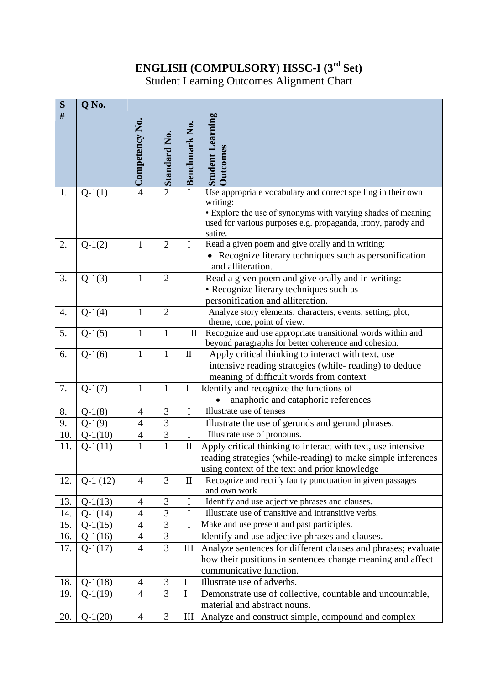## **ENGLISH (COMPULSORY) HSSC-I (3rd Set)**

Student Learning Outcomes Alignment Chart

| S   | Q No.     |                       |                     |                                 |                                                                                                                              |
|-----|-----------|-----------------------|---------------------|---------------------------------|------------------------------------------------------------------------------------------------------------------------------|
| #   |           |                       |                     |                                 |                                                                                                                              |
|     |           |                       |                     |                                 |                                                                                                                              |
|     |           |                       |                     |                                 |                                                                                                                              |
|     |           | $\sim$ Competency No. | <b>Standard No.</b> | Benchmark No.                   | <b>Student Learning</b>                                                                                                      |
|     |           |                       |                     |                                 | <b>Jutcomes</b>                                                                                                              |
|     |           |                       |                     |                                 |                                                                                                                              |
|     |           |                       |                     |                                 |                                                                                                                              |
| 1.  | $Q-1(1)$  |                       | $\overline{2}$      | $\bf{I}$                        | Use appropriate vocabulary and correct spelling in their own                                                                 |
|     |           |                       |                     |                                 | writing:                                                                                                                     |
|     |           |                       |                     |                                 | • Explore the use of synonyms with varying shades of meaning<br>used for various purposes e.g. propaganda, irony, parody and |
|     |           |                       |                     |                                 | satire.                                                                                                                      |
| 2.  | $Q-1(2)$  | $\mathbf{1}$          | $\overline{2}$      | $\mathbf I$                     | Read a given poem and give orally and in writing:                                                                            |
|     |           |                       |                     |                                 | Recognize literary techniques such as personification                                                                        |
|     |           |                       |                     |                                 | and alliteration.                                                                                                            |
| 3.  | $Q-1(3)$  | $\mathbf{1}$          | $\overline{2}$      | $\mathbf I$                     | Read a given poem and give orally and in writing:                                                                            |
|     |           |                       |                     |                                 | • Recognize literary techniques such as                                                                                      |
|     |           |                       |                     |                                 | personification and alliteration.                                                                                            |
| 4.  | $Q-1(4)$  | $\mathbf{1}$          | $\overline{2}$      | $\mathbf I$                     | Analyze story elements: characters, events, setting, plot,                                                                   |
|     |           |                       |                     |                                 | theme, tone, point of view.                                                                                                  |
| 5.  | $Q-1(5)$  | $\mathbf{1}$          | $\mathbf{1}$        | Ш                               | Recognize and use appropriate transitional words within and                                                                  |
| 6.  |           | $\mathbf{1}$          | $\mathbf{1}$        | $\mathbf{I}$                    | beyond paragraphs for better coherence and cohesion.                                                                         |
|     | $Q-1(6)$  |                       |                     |                                 | Apply critical thinking to interact with text, use                                                                           |
|     |           |                       |                     |                                 | intensive reading strategies (while-reading) to deduce                                                                       |
| 7.  | $Q-1(7)$  | $\mathbf{1}$          | $\mathbf{1}$        | $\mathbf I$                     | meaning of difficult words from context<br>Identify and recognize the functions of                                           |
|     |           |                       |                     |                                 | anaphoric and cataphoric references                                                                                          |
| 8.  | $Q-1(8)$  | $\overline{4}$        | 3                   | I                               | Illustrate use of tenses                                                                                                     |
| 9.  | $Q-1(9)$  | $\overline{4}$        | $\overline{3}$      | $\mathbf I$                     | Illustrate the use of gerunds and gerund phrases.                                                                            |
| 10. | $Q-1(10)$ | $\overline{4}$        | $\overline{3}$      | $\mathbf I$                     | Illustrate use of pronouns.                                                                                                  |
| 11. | $Q-1(11)$ | $\mathbf{1}$          | $\mathbf{1}$        | $\mathop{\mathrm{II}}\nolimits$ | Apply critical thinking to interact with text, use intensive                                                                 |
|     |           |                       |                     |                                 | reading strategies (while-reading) to make simple inferences                                                                 |
|     |           |                       |                     |                                 | using context of the text and prior knowledge                                                                                |
| 12. | $Q-1(12)$ | $\overline{4}$        | 3                   | $\mathbf{I}$                    | Recognize and rectify faulty punctuation in given passages                                                                   |
|     |           |                       |                     |                                 | and own work                                                                                                                 |
| 13. | $Q-1(13)$ | 4                     | 3                   | I                               | Identify and use adjective phrases and clauses.                                                                              |
| 14. | $Q-1(14)$ | 4                     | 3                   | I                               | Illustrate use of transitive and intransitive verbs.                                                                         |
| 15. | $Q-1(15)$ | 4                     | 3                   | I                               | Make and use present and past participles.                                                                                   |
| 16. | $Q-1(16)$ | 4                     | 3                   | I                               | Identify and use adjective phrases and clauses.                                                                              |
| 17. | $Q-1(17)$ | $\overline{4}$        | 3                   | Ш                               | Analyze sentences for different clauses and phrases; evaluate                                                                |
|     |           |                       |                     |                                 | how their positions in sentences change meaning and affect                                                                   |
|     |           |                       |                     |                                 | communicative function.                                                                                                      |
| 18. | $Q-1(18)$ | 4                     | 3                   | I                               | Illustrate use of adverbs.                                                                                                   |
| 19. | $Q-1(19)$ | 4                     | 3                   | $\bf{I}$                        | Demonstrate use of collective, countable and uncountable,                                                                    |
|     |           |                       |                     |                                 | material and abstract nouns.                                                                                                 |
| 20. | $Q-1(20)$ | $\overline{4}$        | 3                   | III                             | Analyze and construct simple, compound and complex                                                                           |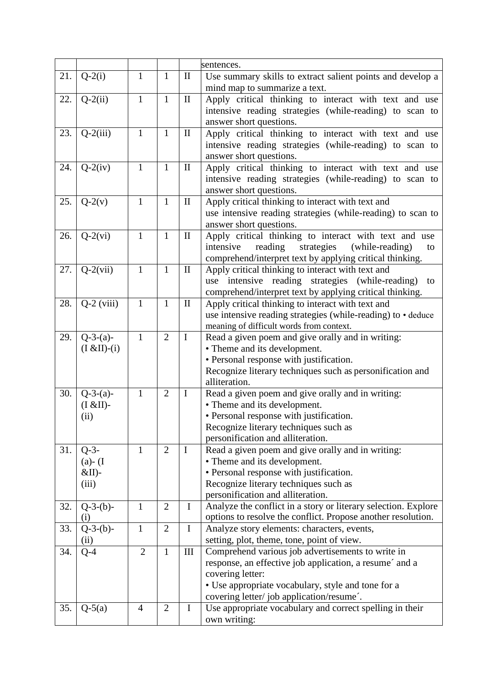|     |               |                |                |              | sentences.                                                     |
|-----|---------------|----------------|----------------|--------------|----------------------------------------------------------------|
| 21. | $Q-2(i)$      | $\mathbf{1}$   | $\mathbf{1}$   | $\mathbf{I}$ | Use summary skills to extract salient points and develop a     |
|     |               |                |                |              | mind map to summarize a text.                                  |
| 22. | $Q-2(ii)$     | $\mathbf{1}$   | $\mathbf{1}$   | $\mathbf{I}$ | Apply critical thinking to interact with text and use          |
|     |               |                |                |              | intensive reading strategies (while-reading) to scan to        |
|     |               |                |                |              | answer short questions.                                        |
| 23. | $Q-2(iii)$    | $\mathbf{1}$   | $\mathbf{1}$   | $\mathbf{I}$ | Apply critical thinking to interact with text and use          |
|     |               |                |                |              | intensive reading strategies (while-reading) to scan to        |
|     |               |                |                |              | answer short questions.                                        |
| 24. | $Q-2(iv)$     | $\mathbf{1}$   | $\mathbf{1}$   | $\mathbf{I}$ | Apply critical thinking to interact with text and use          |
|     |               |                |                |              | intensive reading strategies (while-reading) to scan to        |
|     |               |                |                |              | answer short questions.                                        |
| 25. | $Q-2(v)$      | $\mathbf{1}$   | $\mathbf{1}$   | $\mathbf{I}$ | Apply critical thinking to interact with text and              |
|     |               |                |                |              | use intensive reading strategies (while-reading) to scan to    |
|     |               |                |                |              | answer short questions.                                        |
| 26. | $Q-2(vi)$     | $\mathbf{1}$   | $\mathbf{1}$   | $\mathbf{I}$ | Apply critical thinking to interact with text and use          |
|     |               |                |                |              | reading<br>strategies<br>intensive<br>(while-reading)          |
|     |               |                |                |              | to                                                             |
|     |               |                |                |              | comprehend/interpret text by applying critical thinking.       |
| 27. | $Q-2(vii)$    | $\mathbf{1}$   | $\mathbf{1}$   | $\mathbf{I}$ | Apply critical thinking to interact with text and              |
|     |               |                |                |              | use intensive reading strategies (while-reading)<br>to         |
|     |               |                |                |              | comprehend/interpret text by applying critical thinking.       |
| 28. | $Q-2$ (viii)  | $\mathbf{1}$   | $\mathbf{1}$   | $\mathbf{I}$ | Apply critical thinking to interact with text and              |
|     |               |                |                |              | use intensive reading strategies (while-reading) to • deduce   |
|     |               |                |                |              | meaning of difficult words from context.                       |
| 29. | $Q-3-(a)-$    | $\mathbf{1}$   | $\overline{2}$ | $\mathbf I$  | Read a given poem and give orally and in writing:              |
|     | $(I & H(-i))$ |                |                |              | • Theme and its development.                                   |
|     |               |                |                |              | • Personal response with justification.                        |
|     |               |                |                |              | Recognize literary techniques such as personification and      |
|     |               |                |                |              | alliteration.                                                  |
| 30. | $Q-3-(a)-$    | $\mathbf{1}$   | $\overline{2}$ | $\mathbf I$  | Read a given poem and give orally and in writing:              |
|     | $(I & EII)$ - |                |                |              | • Theme and its development.                                   |
|     | (ii)          |                |                |              | • Personal response with justification.                        |
|     |               |                |                |              | Recognize literary techniques such as                          |
|     |               |                |                |              | personification and alliteration.                              |
| 31. | $Q-3-$        | 1              | $\overline{2}$ | $\mathbf I$  | Read a given poem and give orally and in writing:              |
|     | $(a) - (I)$   |                |                |              | • Theme and its development.                                   |
|     | $&$ II)-      |                |                |              | • Personal response with justification.                        |
|     | (iii)         |                |                |              | Recognize literary techniques such as                          |
|     |               |                |                |              | personification and alliteration.                              |
| 32. | $Q-3-(b)-$    | $\mathbf{1}$   | $\overline{2}$ | $\mathbf I$  | Analyze the conflict in a story or literary selection. Explore |
|     | (i)           |                |                |              | options to resolve the conflict. Propose another resolution.   |
| 33. | $Q-3-(b)-$    | $\mathbf{1}$   | $\overline{2}$ | $\bf{I}$     | Analyze story elements: characters, events,                    |
|     | (ii)          |                |                |              | setting, plot, theme, tone, point of view.                     |
| 34. | $Q-4$         | $\overline{2}$ | 1              | III          | Comprehend various job advertisements to write in              |
|     |               |                |                |              | response, an effective job application, a resume and a         |
|     |               |                |                |              | covering letter:                                               |
|     |               |                |                |              | • Use appropriate vocabulary, style and tone for a             |
|     |               |                |                |              | covering letter/job application/resume'.                       |
| 35. | $Q-5(a)$      | $\overline{4}$ | $\overline{2}$ | $\mathbf I$  | Use appropriate vocabulary and correct spelling in their       |
|     |               |                |                |              | own writing:                                                   |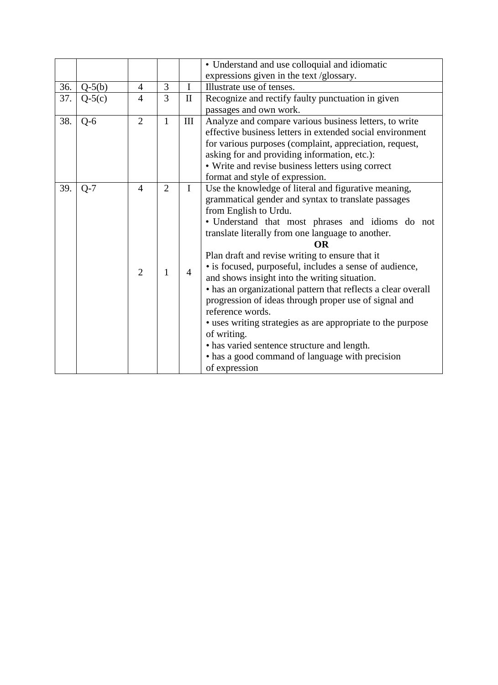|     |          |                |                |                | • Understand and use colloquial and idiomatic                 |
|-----|----------|----------------|----------------|----------------|---------------------------------------------------------------|
|     |          |                |                |                | expressions given in the text /glossary.                      |
| 36. | $Q-5(b)$ | $\overline{4}$ | 3              | $\bf I$        | Illustrate use of tenses.                                     |
| 37. | $Q-5(c)$ | $\overline{4}$ | 3              | $\mathbf{I}$   | Recognize and rectify faulty punctuation in given             |
|     |          |                |                |                | passages and own work.                                        |
| 38. | $Q-6$    | $\overline{2}$ | $\mathbf{1}$   | $\rm III$      | Analyze and compare various business letters, to write        |
|     |          |                |                |                | effective business letters in extended social environment     |
|     |          |                |                |                | for various purposes (complaint, appreciation, request,       |
|     |          |                |                |                | asking for and providing information, etc.):                  |
|     |          |                |                |                | • Write and revise business letters using correct             |
|     |          |                |                |                | format and style of expression.                               |
| 39. | $Q-7$    | $\overline{4}$ | $\overline{2}$ | $\mathbf I$    | Use the knowledge of literal and figurative meaning,          |
|     |          |                |                |                | grammatical gender and syntax to translate passages           |
|     |          |                |                |                | from English to Urdu.                                         |
|     |          |                |                |                | · Understand that most phrases and idioms do not              |
|     |          |                |                |                | translate literally from one language to another.             |
|     |          |                |                |                | OR                                                            |
|     |          |                |                |                | Plan draft and revise writing to ensure that it               |
|     |          | $\overline{2}$ | $\mathbf{1}$   | $\overline{4}$ | • is focused, purposeful, includes a sense of audience,       |
|     |          |                |                |                | and shows insight into the writing situation.                 |
|     |          |                |                |                | • has an organizational pattern that reflects a clear overall |
|     |          |                |                |                | progression of ideas through proper use of signal and         |
|     |          |                |                |                | reference words.                                              |
|     |          |                |                |                | • uses writing strategies as are appropriate to the purpose   |
|     |          |                |                |                | of writing.                                                   |
|     |          |                |                |                | • has varied sentence structure and length.                   |
|     |          |                |                |                | • has a good command of language with precision               |
|     |          |                |                |                | of expression                                                 |